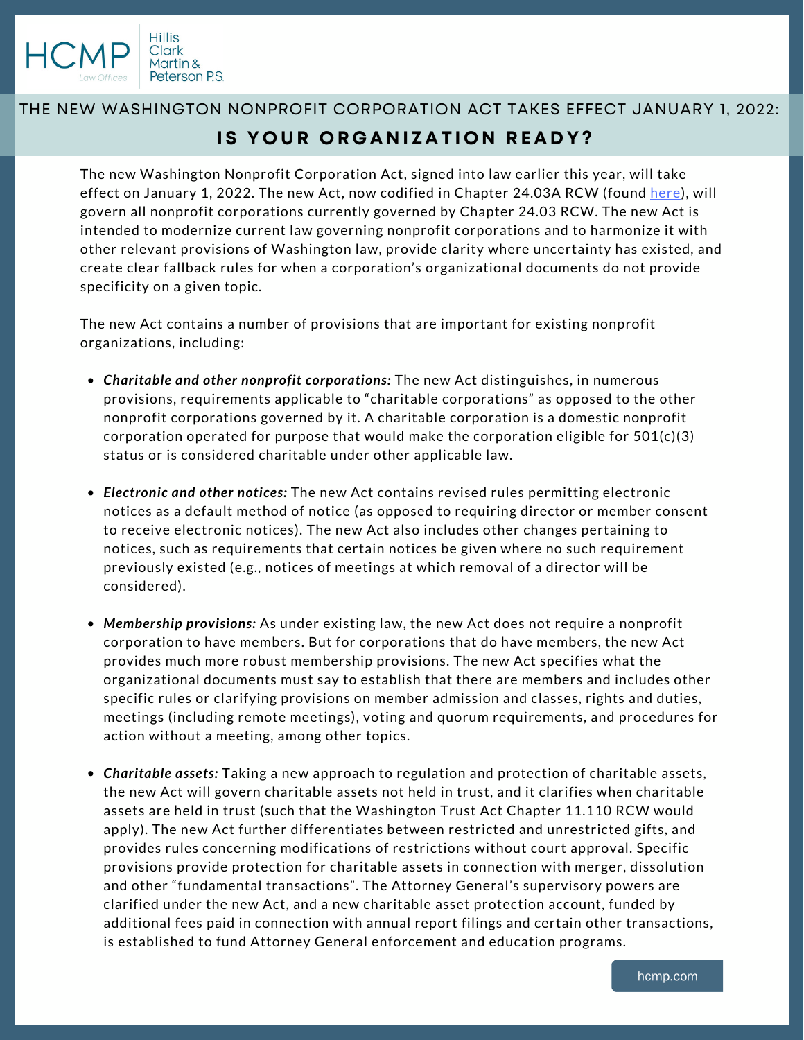

## THE NEW WASHINGTON NONPROFIT CORPORATION ACT TAKES EFFECT JANUARY 1, 2022: **IS YOUR ORGANIZATION READY?**

The new Washington Nonprofit Corporation Act, signed into law earlier this year, will take effect on January 1, 2022. The new Act, now codified in Chapter 24.03A RCW (found [here\)](https://app.leg.wa.gov/RCW/default.aspx?cite=24.03A), will govern all nonprofit corporations currently governed by Chapter 24.03 RCW. The new Act is intended to modernize current law governing nonprofit corporations and to harmonize it with other relevant provisions of Washington law, provide clarity where uncertainty has existed, and create clear fallback rules for when a corporation's organizational documents do not provide specificity on a given topic.

The new Act contains a number of provisions that are important for existing nonprofit organizations, including:

- *Charitable and other nonprofit corporations:* The new Act distinguishes, in numerous provisions, requirements applicable to "charitable corporations" as opposed to the other nonprofit corporations governed by it. A charitable corporation is a domestic nonprofit corporation operated for purpose that would make the corporation eligible for  $501(c)(3)$ status or is considered charitable under other applicable law.
- *Electronic and other notices:* The new Act contains revised rules permitting electronic notices as a default method of notice (as opposed to requiring director or member consent to receive electronic notices). The new Act also includes other changes pertaining to notices, such as requirements that certain notices be given where no such requirement previously existed (e.g., notices of meetings at which removal of a director will be considered).
- *Membership provisions:* As under existing law, the new Act does not require a nonprofit corporation to have members. But for corporations that do have members, the new Act provides much more robust membership provisions. The new Act specifies what the organizational documents must say to establish that there are members and includes other specific rules or clarifying provisions on member admission and classes, rights and duties, meetings (including remote meetings), voting and quorum requirements, and procedures for action without a meeting, among other topics.
- *Charitable assets:* Taking a new approach to regulation and protection of charitable assets, the new Act will govern charitable assets not held in trust, and it clarifies when charitable assets are held in trust (such that the Washington Trust Act Chapter 11.110 RCW would apply). The new Act further differentiates between restricted and unrestricted gifts, and provides rules concerning modifications of restrictions without court approval. Specific provisions provide protection for charitable assets in connection with merger, dissolution and other "fundamental transactions". The Attorney General's supervisory powers are clarified under the new Act, and a new charitable asset protection account, funded by additional fees paid in connection with annual report filings and certain other transactions, is established to fund Attorney General enforcement and education programs.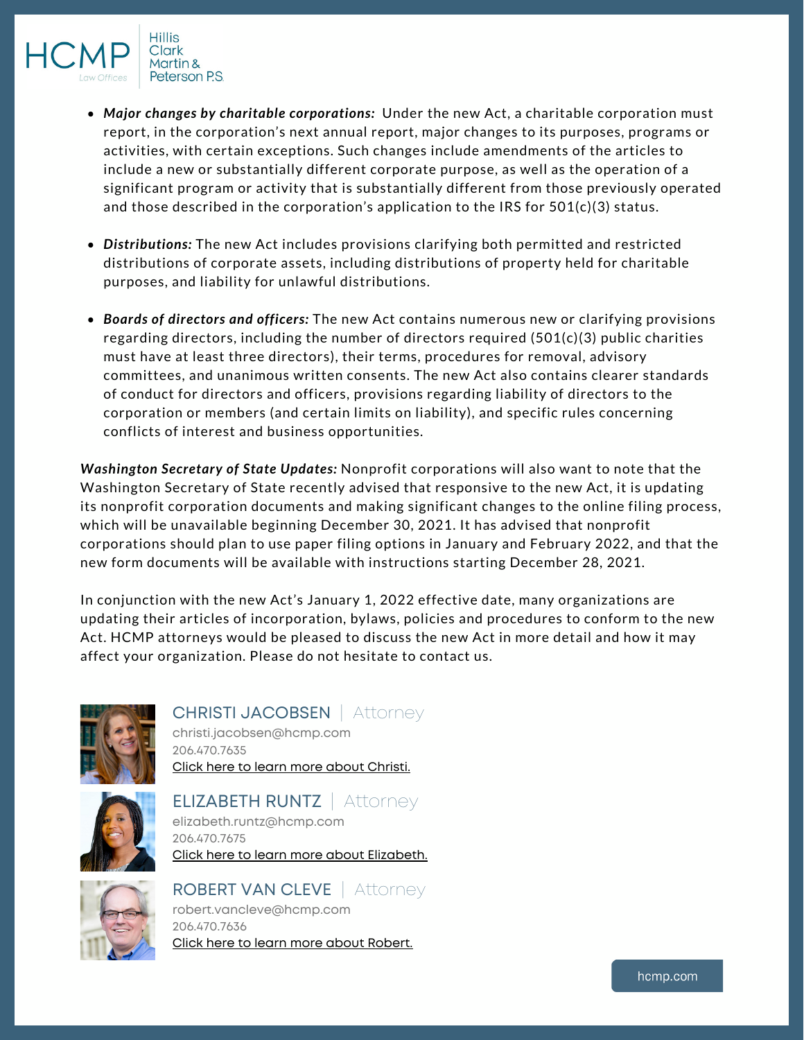

Clark Martin & Peterson P.S.

- *Major changes by charitable corporations:* Under the new Act, a charitable corporation must report, in the corporation's next annual report, major changes to its purposes, programs or activities, with certain exceptions. Such changes include amendments of the articles to include a new or substantially different corporate purpose, as well as the operation of a significant program or activity that is substantially different from those previously operated and those described in the corporation's application to the IRS for 501(c)(3) status.
- *Distributions:* The new Act includes provisions clarifying both permitted and restricted distributions of corporate assets, including distributions of property held for charitable purposes, and liability for unlawful distributions.
- *Boards of directors and officers:* The new Act contains numerous new or clarifying provisions regarding directors, including the number of directors required (501(c)(3) public charities must have at least three directors), their terms, procedures for removal, advisory committees, and unanimous written consents. The new Act also contains clearer standards of conduct for directors and officers, provisions regarding liability of directors to the corporation or members (and certain limits on liability), and specific rules concerning conflicts of interest and business opportunities.

*Washington Secretary of State Updates:* Nonprofit corporations will also want to note that the Washington Secretary of State recently advised that responsive to the new Act, it is updating its nonprofit corporation documents and making significant changes to the online filing process, which will be unavailable beginning December 30, 2021. It has advised that nonprofit corporations should plan to use paper filing options in January and February 2022, and that the new form documents will be available with instructions starting December 28, 2021.

In conjunction with the new Act's January 1, 2022 effective date, many organizations are updating their articles of incorporation, bylaws, policies and procedures to conform to the new Act. HCMP attorneys would be pleased to discuss the new Act in more detail and how it may affect your organization. Please do not hesitate to contact us.



## CHRISTI JACOBSEN | Attorney

christi.jacobsen@hcmp.com 206.470.7635 Click here to learn more about [Christi.](https://www.hcmp.com/profile/attorneys/christi-jacobsen-attorney)



## ELIZABETH RUNTZ | Attorney

elizabeth.runtz@hcmp.com 206.470.7675 Click here to learn more about [Elizabeth.](https://www.hcmp.com/profile/attorneys/elizabeth-r-runtz-attorney)



ROBERT VAN CLEVE | Attorney robert.vancleve@hcmp.com 206.470.7636 Click here to learn more about [Robert.](https://www.hcmp.com/profile/attorneys/robert-b-van-cleve-attorney)